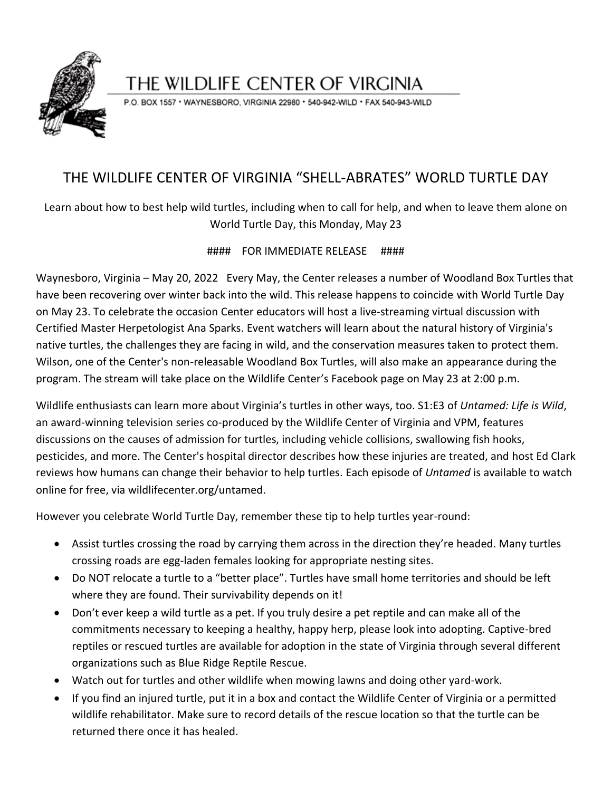

## THE WILDLIFE CENTER OF VIRGINIA

P.O. BOX 1557 · WAYNESBORO, VIRGINIA 22980 · 540-942-WILD · FAX 540-943-WILD

## THE WILDLIFE CENTER OF VIRGINIA "SHELL-ABRATES" WORLD TURTLE DAY

Learn about how to best help wild turtles, including when to call for help, and when to leave them alone on World Turtle Day, this Monday, May 23

#### FOR IMMEDIATE RELEASE ####

Waynesboro, Virginia – May 20, 2022 Every May, the Center releases a number of Woodland Box Turtles that have been recovering over winter back into the wild. This release happens to coincide with World Turtle Day on May 23. To celebrate the occasion Center educators will host a live-streaming virtual discussion with Certified Master Herpetologist Ana Sparks. Event watchers will learn about the natural history of Virginia's native turtles, the challenges they are facing in wild, and the conservation measures taken to protect them. Wilson, one of the Center's non-releasable Woodland Box Turtles, will also make an appearance during the program. The stream will take place on the Wildlife Center's Facebook page on May 23 at 2:00 p.m.

Wildlife enthusiasts can learn more about Virginia's turtles in other ways, too. S1:E3 of *Untamed: Life is Wild*, an award-winning television series co-produced by the Wildlife Center of Virginia and VPM, features discussions on the causes of admission for turtles, including vehicle collisions, swallowing fish hooks, pesticides, and more. The Center's hospital director describes how these injuries are treated, and host Ed Clark reviews how humans can change their behavior to help turtles. Each episode of *Untamed* is available to watch online for free, via wildlifecenter.org/untamed.

However you celebrate World Turtle Day, remember these tip to help turtles year-round:

- Assist turtles crossing the road by carrying them across in the direction they're headed. Many turtles crossing roads are egg-laden females looking for appropriate nesting sites.
- Do NOT relocate a turtle to a "better place". Turtles have small home territories and should be left where they are found. Their survivability depends on it!
- Don't ever keep a wild turtle as a pet. If you truly desire a pet reptile and can make all of the commitments necessary to keeping a healthy, happy herp, please look into adopting. Captive-bred reptiles or rescued turtles are available for adoption in the state of Virginia through several different organizations such as Blue Ridge Reptile Rescue.
- Watch out for turtles and other wildlife when mowing lawns and doing other yard-work.
- If you find an injured turtle, put it in a box and contact the Wildlife Center of Virginia or a permitted wildlife rehabilitator. Make sure to record details of the rescue location so that the turtle can be returned there once it has healed.